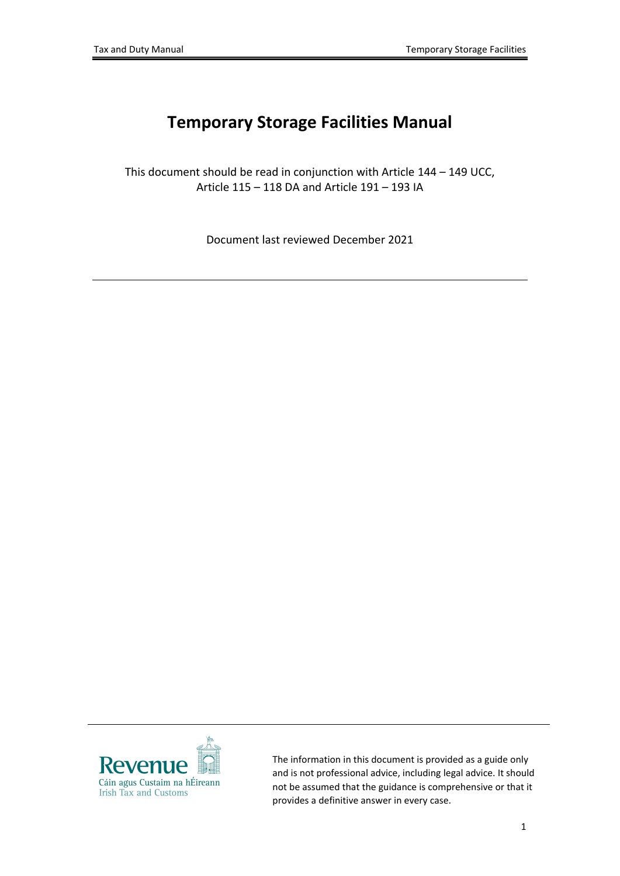# **Temporary Storage Facilities Manual**

This document should be read in conjunction with Article 144 – 149 UCC, Article 115 – 118 DA and Article 191 – 193 IA

Document last reviewed December 2021



The information in this document is provided as a guide only and is not professional advice, including legal advice. It should not be assumed that the guidance is comprehensive or that it provides a definitive answer in every case.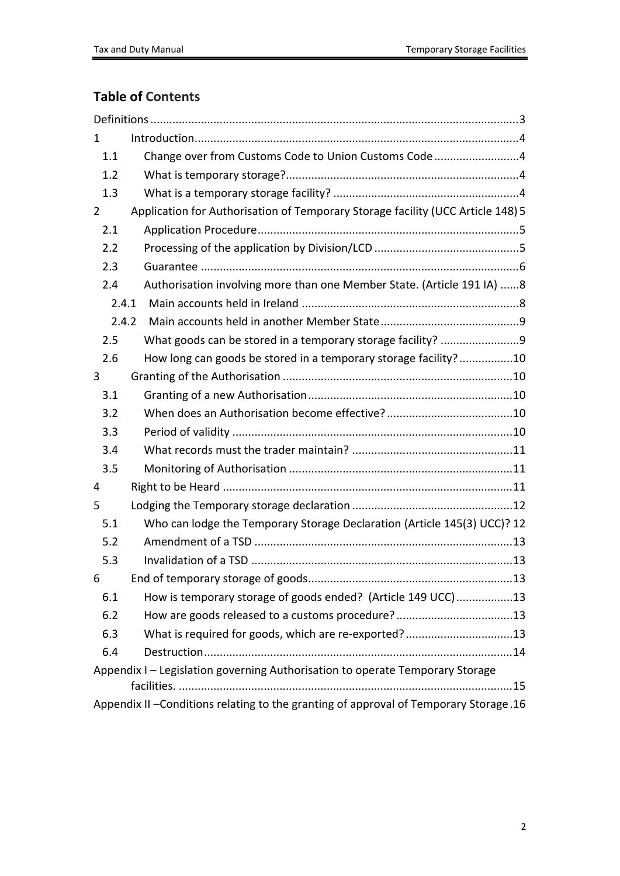## **Table of Contents**

| 1              |                                                                                        |
|----------------|----------------------------------------------------------------------------------------|
| 1.1            | Change over from Customs Code to Union Customs Code4                                   |
| 1.2            |                                                                                        |
| 1.3            |                                                                                        |
| $\overline{2}$ | Application for Authorisation of Temporary Storage facility (UCC Article 148) 5        |
| 2.1            |                                                                                        |
| 2.2            |                                                                                        |
| 2.3            |                                                                                        |
| 2.4            | Authorisation involving more than one Member State. (Article 191 IA) 8                 |
|                | 2.4.1                                                                                  |
|                | 2.4.2                                                                                  |
| 2.5            |                                                                                        |
| 2.6            | How long can goods be stored in a temporary storage facility?10                        |
| 3              |                                                                                        |
| 3.1            |                                                                                        |
| 3.2            |                                                                                        |
| 3.3            |                                                                                        |
| 3.4            |                                                                                        |
| 3.5            |                                                                                        |
| 4              |                                                                                        |
| 5              |                                                                                        |
| 5.1            | Who can lodge the Temporary Storage Declaration (Article 145(3) UCC)? 12               |
| 5.2            |                                                                                        |
| 5.3            |                                                                                        |
| 6              |                                                                                        |
| 6.1            | How is temporary storage of goods ended? (Article 149 UCC)13                           |
| 6.2            |                                                                                        |
| 6.3            | What is required for goods, which are re-exported?13                                   |
| 6.4            |                                                                                        |
|                | Appendix I - Legislation governing Authorisation to operate Temporary Storage          |
|                |                                                                                        |
|                | Appendix II - Conditions relating to the granting of approval of Temporary Storage. 16 |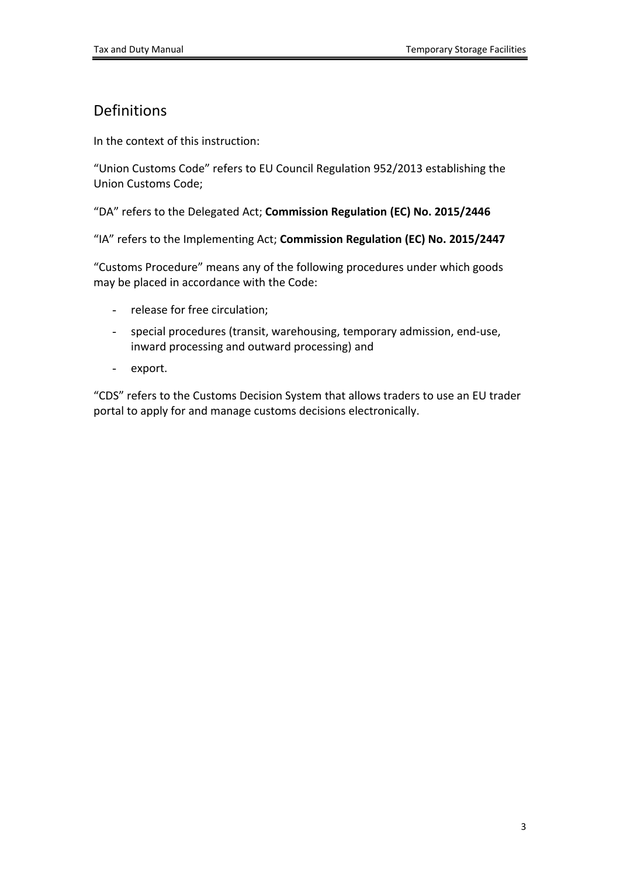## <span id="page-2-0"></span>Definitions

In the context of this instruction:

"Union Customs Code" refers to EU Council Regulation 952/2013 establishing the Union Customs Code;

"DA" refers to the Delegated Act; **Commission Regulation (EC) No. 2015/2446**

"IA" refers to the Implementing Act; **Commission Regulation (EC) No. 2015/2447**

"Customs Procedure" means any of the following procedures under which goods may be placed in accordance with the Code:

- release for free circulation;
- special procedures (transit, warehousing, temporary admission, end-use, inward processing and outward processing) and
- export.

"CDS" refers to the Customs Decision System that allows traders to use an EU trader portal to apply for and manage customs decisions electronically.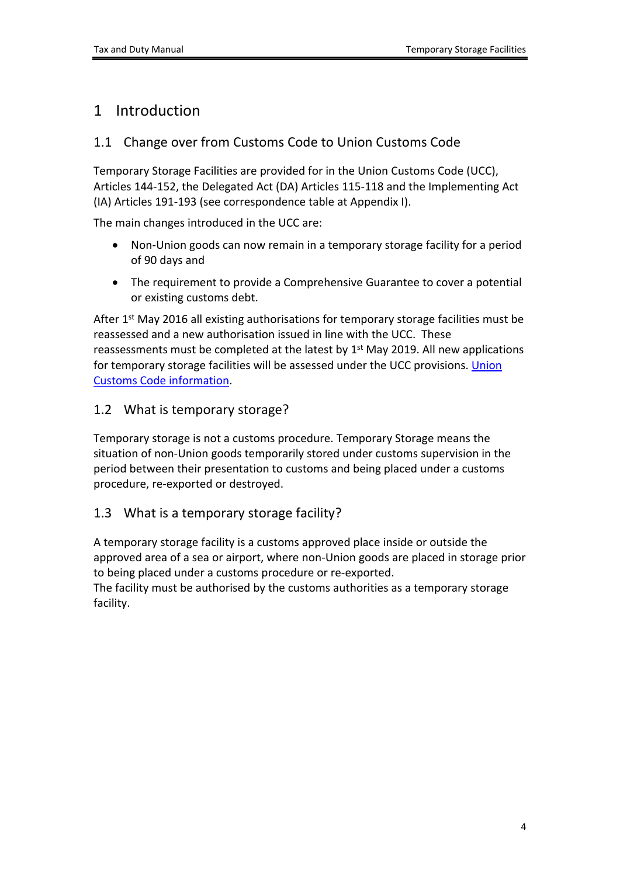### <span id="page-3-0"></span>1 Introduction

### <span id="page-3-1"></span>1.1 Change over from Customs Code to Union Customs Code

Temporary Storage Facilities are provided for in the Union Customs Code (UCC), Articles 144-152, the Delegated Act (DA) Articles 115-118 and the Implementing Act (IA) Articles 191-193 (see correspondence table at Appendix I).

The main changes introduced in the UCC are:

- Non-Union goods can now remain in a temporary storage facility for a period of 90 days and
- The requirement to provide a Comprehensive Guarantee to cover a potential or existing customs debt.

After 1<sup>st</sup> May 2016 all existing authorisations for temporary storage facilities must be reassessed and a new authorisation issued in line with the UCC. These reassessments must be completed at the latest by 1<sup>st</sup> May 2019. All new applications for temporary storage facilities will be assessed under the UCC provisions. [Union](https://www.revenue.ie/en/tax-professionals/legislation/union-customs-code/index.aspx) [Customs](https://www.revenue.ie/en/tax-professionals/legislation/union-customs-code/index.aspx) [Code](https://www.revenue.ie/en/tax-professionals/legislation/union-customs-code/index.aspx) [information](https://www.revenue.ie/en/tax-professionals/legislation/union-customs-code/index.aspx).

#### <span id="page-3-2"></span>1.2 What is temporary storage?

Temporary storage is not a customs procedure. Temporary Storage means the situation of non-Union goods temporarily stored under customs supervision in the period between their presentation to customs and being placed under a customs procedure, re-exported or destroyed.

#### <span id="page-3-3"></span>1.3 What is a temporary storage facility?

A temporary storage facility is a customs approved place inside or outside the approved area of a sea or airport, where non-Union goods are placed in storage prior to being placed under a customs procedure or re-exported.

The facility must be authorised by the customs authorities as a temporary storage facility.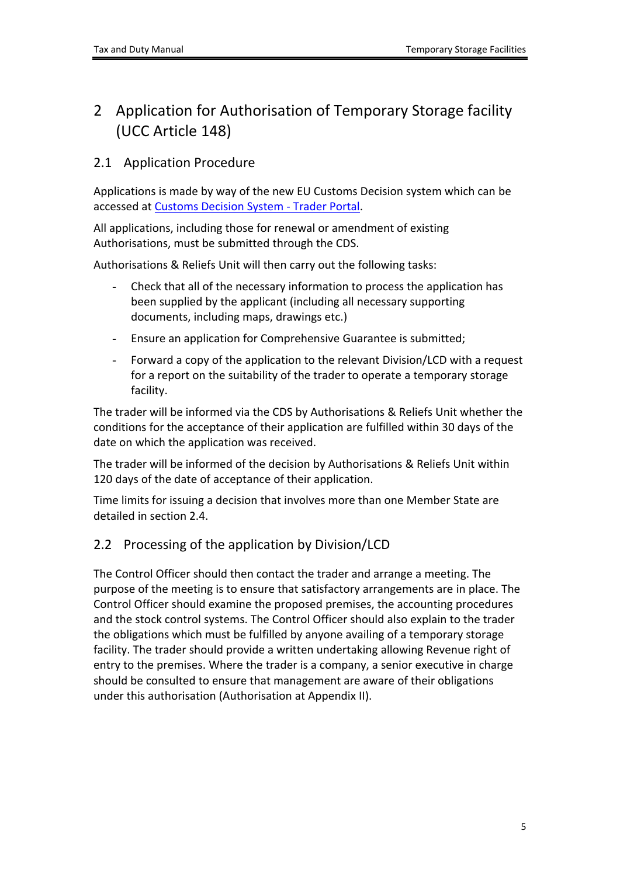## <span id="page-4-0"></span>2 Application for Authorisation of Temporary Storage facility (UCC Article 148)

### <span id="page-4-1"></span>2.1 Application Procedure

Applications is made by way of the new EU Customs Decision system which can be accessed at [Customs](https://customs.ec.europa.eu/taxud/uumds/cas/uumds-wayf/wayf?loginRequestId=ECAS_LR-135236-du4Kc8O0PIhzK4j93KnUTMDPO3jvxhprzzzWpEgDhdLyUfMRAihsPEhwynVyRB5IgwRyyAmiyzbcuznqvMTL645G-CiDsmZJBYJeWTISU4pQFMO-DxB0DfaCgiZU50t4kraFzoTY6jRNaMHCvVbclOg1kic) [Decision](https://customs.ec.europa.eu/taxud/uumds/cas/uumds-wayf/wayf?loginRequestId=ECAS_LR-135236-du4Kc8O0PIhzK4j93KnUTMDPO3jvxhprzzzWpEgDhdLyUfMRAihsPEhwynVyRB5IgwRyyAmiyzbcuznqvMTL645G-CiDsmZJBYJeWTISU4pQFMO-DxB0DfaCgiZU50t4kraFzoTY6jRNaMHCvVbclOg1kic) [System](https://customs.ec.europa.eu/taxud/uumds/cas/uumds-wayf/wayf?loginRequestId=ECAS_LR-135236-du4Kc8O0PIhzK4j93KnUTMDPO3jvxhprzzzWpEgDhdLyUfMRAihsPEhwynVyRB5IgwRyyAmiyzbcuznqvMTL645G-CiDsmZJBYJeWTISU4pQFMO-DxB0DfaCgiZU50t4kraFzoTY6jRNaMHCvVbclOg1kic) [-](https://customs.ec.europa.eu/taxud/uumds/cas/uumds-wayf/wayf?loginRequestId=ECAS_LR-135236-du4Kc8O0PIhzK4j93KnUTMDPO3jvxhprzzzWpEgDhdLyUfMRAihsPEhwynVyRB5IgwRyyAmiyzbcuznqvMTL645G-CiDsmZJBYJeWTISU4pQFMO-DxB0DfaCgiZU50t4kraFzoTY6jRNaMHCvVbclOg1kic) [Trader](https://customs.ec.europa.eu/taxud/uumds/cas/uumds-wayf/wayf?loginRequestId=ECAS_LR-135236-du4Kc8O0PIhzK4j93KnUTMDPO3jvxhprzzzWpEgDhdLyUfMRAihsPEhwynVyRB5IgwRyyAmiyzbcuznqvMTL645G-CiDsmZJBYJeWTISU4pQFMO-DxB0DfaCgiZU50t4kraFzoTY6jRNaMHCvVbclOg1kic) [Portal.](https://customs.ec.europa.eu/taxud/uumds/cas/uumds-wayf/wayf?loginRequestId=ECAS_LR-135236-du4Kc8O0PIhzK4j93KnUTMDPO3jvxhprzzzWpEgDhdLyUfMRAihsPEhwynVyRB5IgwRyyAmiyzbcuznqvMTL645G-CiDsmZJBYJeWTISU4pQFMO-DxB0DfaCgiZU50t4kraFzoTY6jRNaMHCvVbclOg1kic)

All applications, including those for renewal or amendment of existing Authorisations, must be submitted through the CDS.

Authorisations & Reliefs Unit will then carry out the following tasks:

- Check that all of the necessary information to process the application has been supplied by the applicant (including all necessary supporting documents, including maps, drawings etc.)
- Ensure an application for Comprehensive Guarantee is submitted;
- Forward a copy of the application to the relevant Division/LCD with a request for a report on the suitability of the trader to operate a temporary storage facility.

The trader will be informed via the CDS by Authorisations & Reliefs Unit whether the conditions for the acceptance of their application are fulfilled within 30 days of the date on which the application was received.

The trader will be informed of the decision by Authorisations & Reliefs Unit within 120 days of the date of acceptance of their application.

Time limits for issuing a decision that involves more than one Member State are detailed in section 2.4.

### <span id="page-4-2"></span>2.2 Processing of the application by Division/LCD

The Control Officer should then contact the trader and arrange a meeting. The purpose of the meeting is to ensure that satisfactory arrangements are in place. The Control Officer should examine the proposed premises, the accounting procedures and the stock control systems. The Control Officer should also explain to the trader the obligations which must be fulfilled by anyone availing of a temporary storage facility. The trader should provide a written undertaking allowing Revenue right of entry to the premises. Where the trader is a company, a senior executive in charge should be consulted to ensure that management are aware of their obligations under this authorisation (Authorisation at Appendix II).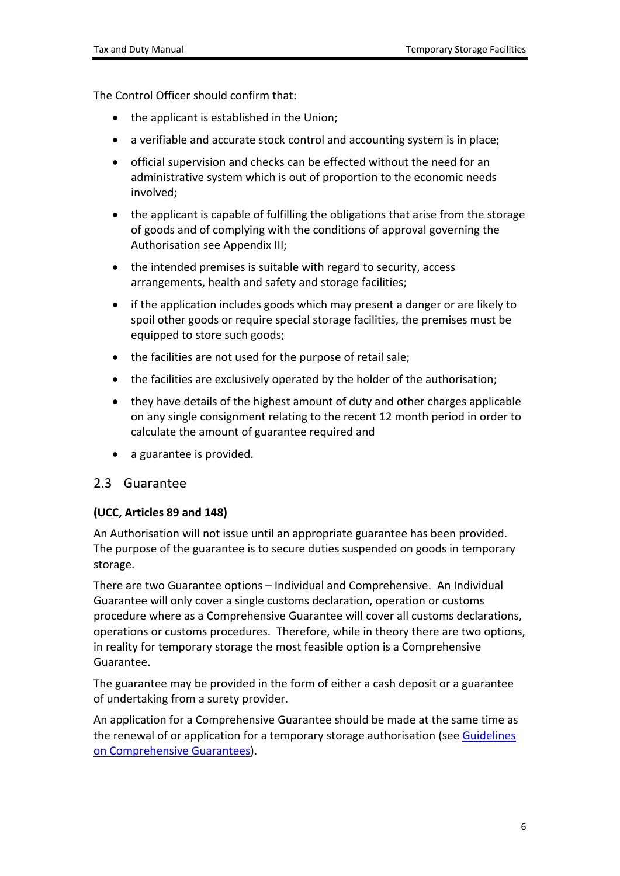The Control Officer should confirm that:

- the applicant is established in the Union;
- a verifiable and accurate stock control and accounting system is in place;
- official supervision and checks can be effected without the need for an administrative system which is out of proportion to the economic needs involved;
- the applicant is capable of fulfilling the obligations that arise from the storage of goods and of complying with the conditions of approval governing the Authorisation see Appendix III;
- the intended premises is suitable with regard to security, access arrangements, health and safety and storage facilities;
- if the application includes goods which may present a danger or are likely to spoil other goods or require special storage facilities, the premises must be equipped to store such goods;
- the facilities are not used for the purpose of retail sale;
- the facilities are exclusively operated by the holder of the authorisation;
- they have details of the highest amount of duty and other charges applicable on any single consignment relating to the recent 12 month period in order to calculate the amount of guarantee required and
- a guarantee is provided.

#### <span id="page-5-0"></span>2.3 Guarantee

#### **(UCC, Articles 89 and 148)**

An Authorisation will not issue until an appropriate guarantee has been provided. The purpose of the guarantee is to secure duties suspended on goods in temporary storage.

There are two Guarantee options – Individual and Comprehensive. An Individual Guarantee will only cover a single customs declaration, operation or customs procedure where as a Comprehensive Guarantee will cover all customs declarations, operations or customs procedures. Therefore, while in theory there are two options, in reality for temporary storage the most feasible option is a Comprehensive Guarantee.

The guarantee may be provided in the form of either a cash deposit or a guarantee of undertaking from a surety provider.

An application for a Comprehensive Guarantee should be made at the same time as the renewal of or application for a temporary storage authorisation (see [Guidelines](https://www.revenue.ie/en/customs-traders-and-agents/comprehensive-guarantee-and-guarantee-waivers/index.aspx) [on](https://www.revenue.ie/en/customs-traders-and-agents/comprehensive-guarantee-and-guarantee-waivers/index.aspx) [Comprehensive](https://www.revenue.ie/en/customs-traders-and-agents/comprehensive-guarantee-and-guarantee-waivers/index.aspx) [Guarantees\)](https://www.revenue.ie/en/customs-traders-and-agents/comprehensive-guarantee-and-guarantee-waivers/index.aspx).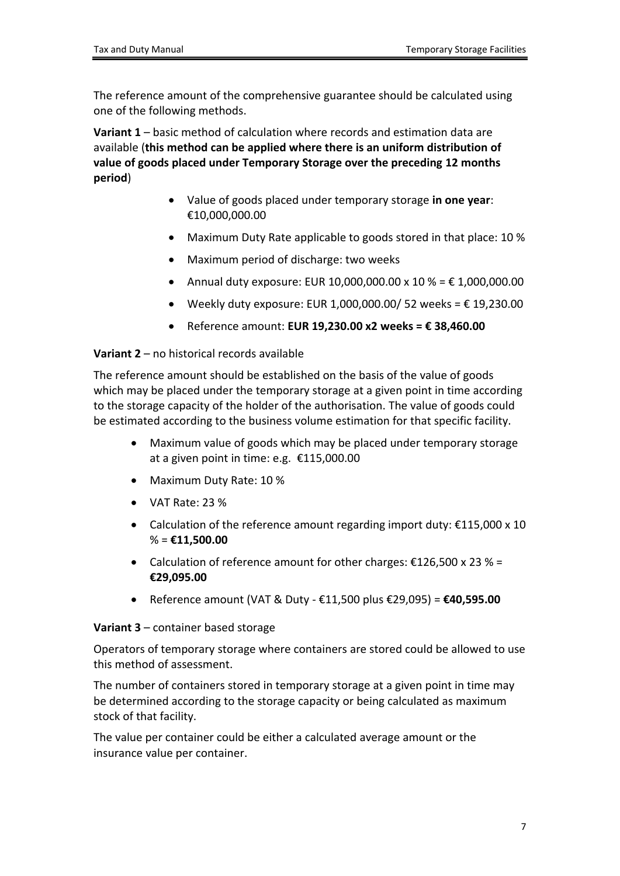The reference amount of the comprehensive guarantee should be calculated using one of the following methods.

**Variant 1** – basic method of calculation where records and estimation data are available (**this method can be applied where there is an uniform distribution of value of goods placed under Temporary Storage over the preceding 12 months period**)

- Value of goods placed under temporary storage **in one year**: €10,000,000.00
- Maximum Duty Rate applicable to goods stored in that place: 10 %
- Maximum period of discharge: two weeks
- Annual duty exposure: EUR 10,000,000.00 x 10 % = € 1,000,000.00
- $\bullet$  Weekly duty exposure: EUR 1,000,000.00/ 52 weeks = € 19,230.00
- Reference amount: **EUR 19,230.00 x2 weeks = € 38,460.00**

#### **Variant 2** – no historical records available

The reference amount should be established on the basis of the value of goods which may be placed under the temporary storage at a given point in time according to the storage capacity of the holder of the authorisation. The value of goods could be estimated according to the business volume estimation for that specific facility.

- Maximum value of goods which may be placed under temporary storage at a given point in time: e.g. €115,000.00
- Maximum Duty Rate: 10 %
- VAT Rate: 23 %
- Calculation of the reference amount regarding import duty:  $£115,000 \times 10$ % = **€11,500.00**
- Calculation of reference amount for other charges:  $£126,500 \times 23 \%$  = **€29,095.00**
- Reference amount (VAT & Duty €11,500 plus €29,095) = **€40,595.00**

#### **Variant 3** – container based storage

Operators of temporary storage where containers are stored could be allowed to use this method of assessment.

The number of containers stored in temporary storage at a given point in time may be determined according to the storage capacity or being calculated as maximum stock of that facility.

The value per container could be either a calculated average amount or the insurance value per container.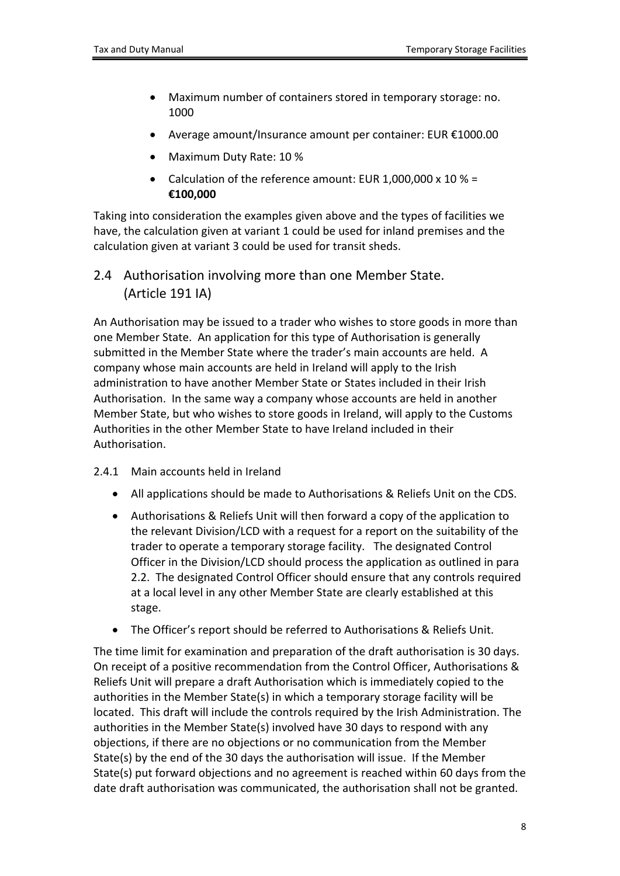- Maximum number of containers stored in temporary storage: no. 1000
- Average amount/Insurance amount per container: EUR €1000.00
- Maximum Duty Rate: 10 %
- Calculation of the reference amount: EUR 1,000,000 x 10 % = **€100,000**

Taking into consideration the examples given above and the types of facilities we have, the calculation given at variant 1 could be used for inland premises and the calculation given at variant 3 could be used for transit sheds.

<span id="page-7-0"></span>2.4 Authorisation involving more than one Member State. (Article 191 IA)

An Authorisation may be issued to a trader who wishes to store goods in more than one Member State. An application for this type of Authorisation is generally submitted in the Member State where the trader's main accounts are held. A company whose main accounts are held in Ireland will apply to the Irish administration to have another Member State or States included in their Irish Authorisation. In the same way a company whose accounts are held in another Member State, but who wishes to store goods in Ireland, will apply to the Customs Authorities in the other Member State to have Ireland included in their Authorisation.

- <span id="page-7-1"></span>2.4.1 Main accounts held in Ireland
	- All applications should be made to Authorisations & Reliefs Unit on the CDS.
	- Authorisations & Reliefs Unit will then forward a copy of the application to the relevant Division/LCD with a request for a report on the suitability of the trader to operate a temporary storage facility. The designated Control Officer in the Division/LCD should process the application as outlined in para 2.2. The designated Control Officer should ensure that any controls required at a local level in any other Member State are clearly established at this stage.
	- The Officer's report should be referred to Authorisations & Reliefs Unit.

The time limit for examination and preparation of the draft authorisation is 30 days. On receipt of a positive recommendation from the Control Officer, Authorisations & Reliefs Unit will prepare a draft Authorisation which is immediately copied to the authorities in the Member State(s) in which a temporary storage facility will be located. This draft will include the controls required by the Irish Administration. The authorities in the Member State(s) involved have 30 days to respond with any objections, if there are no objections or no communication from the Member State(s) by the end of the 30 days the authorisation will issue. If the Member State(s) put forward objections and no agreement is reached within 60 days from the date draft authorisation was communicated, the authorisation shall not be granted.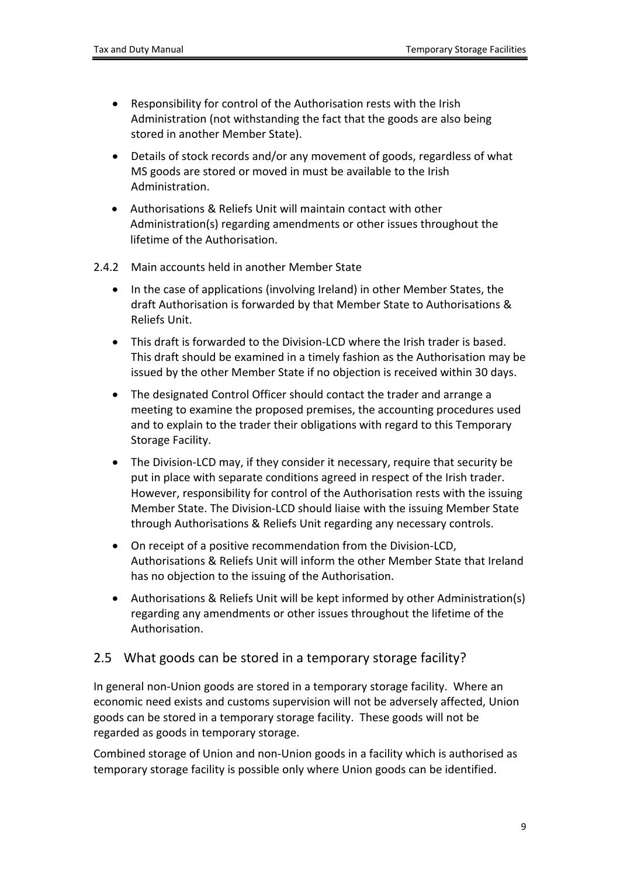- Responsibility for control of the Authorisation rests with the Irish Administration (not withstanding the fact that the goods are also being stored in another Member State).
- Details of stock records and/or any movement of goods, regardless of what MS goods are stored or moved in must be available to the Irish Administration.
- Authorisations & Reliefs Unit will maintain contact with other Administration(s) regarding amendments or other issues throughout the lifetime of the Authorisation.
- <span id="page-8-0"></span>2.4.2 Main accounts held in another Member State
	- In the case of applications (involving Ireland) in other Member States, the draft Authorisation is forwarded by that Member State to Authorisations & Reliefs Unit.
	- This draft is forwarded to the Division-LCD where the Irish trader is based. This draft should be examined in a timely fashion as the Authorisation may be issued by the other Member State if no objection is received within 30 days.
	- The designated Control Officer should contact the trader and arrange a meeting to examine the proposed premises, the accounting procedures used and to explain to the trader their obligations with regard to this Temporary Storage Facility.
	- The Division-LCD may, if they consider it necessary, require that security be put in place with separate conditions agreed in respect of the Irish trader. However, responsibility for control of the Authorisation rests with the issuing Member State. The Division-LCD should liaise with the issuing Member State through Authorisations & Reliefs Unit regarding any necessary controls.
	- On receipt of a positive recommendation from the Division-LCD, Authorisations & Reliefs Unit will inform the other Member State that Ireland has no objection to the issuing of the Authorisation.
	- Authorisations & Reliefs Unit will be kept informed by other Administration(s) regarding any amendments or other issues throughout the lifetime of the Authorisation.

#### <span id="page-8-1"></span>2.5 What goods can be stored in a temporary storage facility?

In general non-Union goods are stored in a temporary storage facility. Where an economic need exists and customs supervision will not be adversely affected, Union goods can be stored in a temporary storage facility. These goods will not be regarded as goods in temporary storage.

Combined storage of Union and non-Union goods in a facility which is authorised as temporary storage facility is possible only where Union goods can be identified.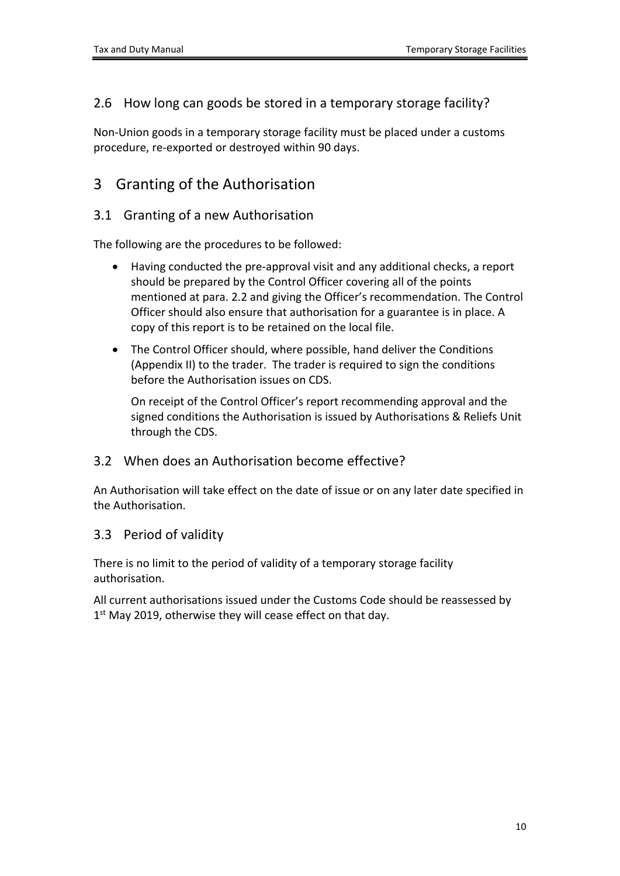### <span id="page-9-0"></span>2.6 How long can goods be stored in a temporary storage facility?

Non-Union goods in a temporary storage facility must be placed under a customs procedure, re-exported or destroyed within 90 days.

## <span id="page-9-1"></span>3 Granting of the Authorisation

#### <span id="page-9-2"></span>3.1 Granting of a new Authorisation

The following are the procedures to be followed:

- Having conducted the pre-approval visit and any additional checks, a report should be prepared by the Control Officer covering all of the points mentioned at para. 2.2 and giving the Officer's recommendation. The Control Officer should also ensure that authorisation for a guarantee is in place. A copy of this report is to be retained on the local file.
- The Control Officer should, where possible, hand deliver the Conditions (Appendix II) to the trader. The trader is required to sign the conditions before the Authorisation issues on CDS.

On receipt of the Control Officer's report recommending approval and the signed conditions the Authorisation is issued by Authorisations & Reliefs Unit through the CDS.

#### <span id="page-9-3"></span>3.2 When does an Authorisation become effective?

An Authorisation will take effect on the date of issue or on any later date specified in the Authorisation.

#### <span id="page-9-4"></span>3.3 Period of validity

There is no limit to the period of validity of a temporary storage facility authorisation.

All current authorisations issued under the Customs Code should be reassessed by 1<sup>st</sup> May 2019, otherwise they will cease effect on that day.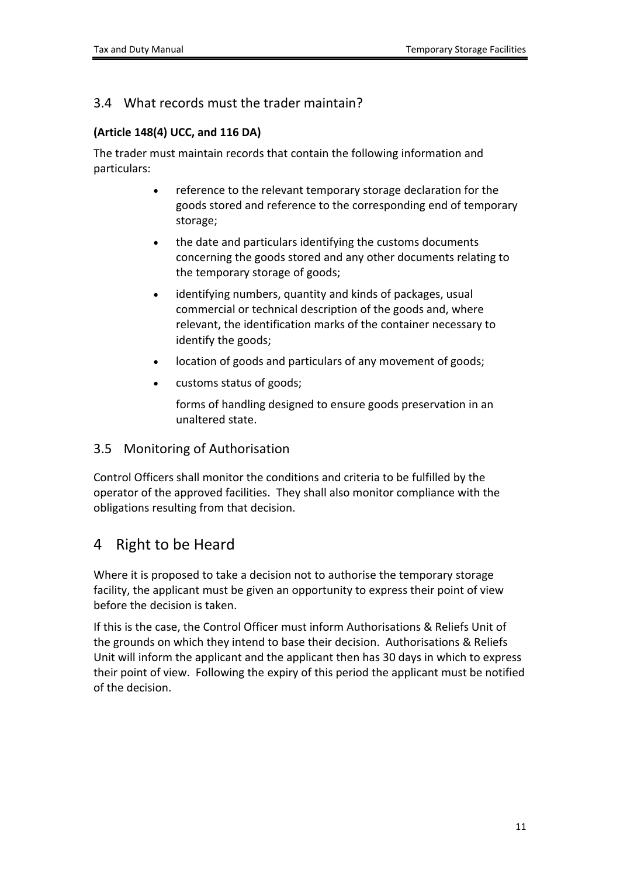### <span id="page-10-0"></span>3.4 What records must the trader maintain?

#### **(Article 148(4) UCC, and 116 DA)**

The trader must maintain records that contain the following information and particulars:

- reference to the relevant temporary storage declaration for the goods stored and reference to the corresponding end of temporary storage;
- the date and particulars identifying the customs documents concerning the goods stored and any other documents relating to the temporary storage of goods;
- identifying numbers, quantity and kinds of packages, usual commercial or technical description of the goods and, where relevant, the identification marks of the container necessary to identify the goods;
- location of goods and particulars of any movement of goods;
- customs status of goods;

forms of handling designed to ensure goods preservation in an unaltered state.

#### <span id="page-10-1"></span>3.5 Monitoring of Authorisation

Control Officers shall monitor the conditions and criteria to be fulfilled by the operator of the approved facilities. They shall also monitor compliance with the obligations resulting from that decision.

### <span id="page-10-2"></span>4 Right to be Heard

Where it is proposed to take a decision not to authorise the temporary storage facility, the applicant must be given an opportunity to express their point of view before the decision is taken.

If this is the case, the Control Officer must inform Authorisations & Reliefs Unit of the grounds on which they intend to base their decision. Authorisations & Reliefs Unit will inform the applicant and the applicant then has 30 days in which to express their point of view. Following the expiry of this period the applicant must be notified of the decision.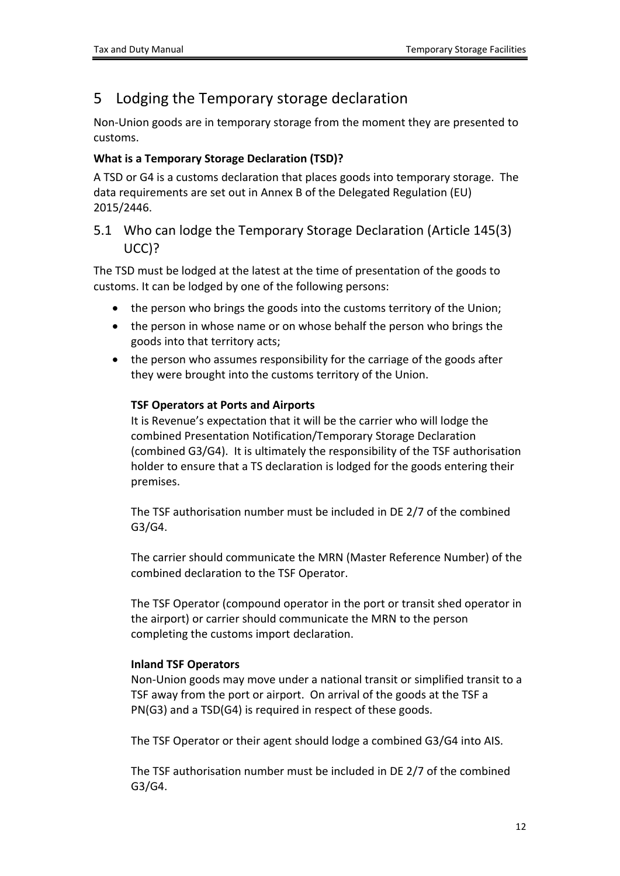## <span id="page-11-0"></span>5 Lodging the Temporary storage declaration

Non-Union goods are in temporary storage from the moment they are presented to customs.

#### **What is a Temporary Storage Declaration (TSD)?**

A TSD or G4 is a customs declaration that places goods into temporary storage. The data requirements are set out in Annex B of the Delegated Regulation (EU) 2015/2446.

### <span id="page-11-1"></span>5.1 Who can lodge the Temporary Storage Declaration (Article 145(3) UCC)?

The TSD must be lodged at the latest at the time of presentation of the goods to customs. It can be lodged by one of the following persons:

- the person who brings the goods into the customs territory of the Union;
- the person in whose name or on whose behalf the person who brings the goods into that territory acts;
- the person who assumes responsibility for the carriage of the goods after they were brought into the customs territory of the Union.

#### **TSF Operators at Ports and Airports**

It is Revenue's expectation that it will be the carrier who will lodge the combined Presentation Notification/Temporary Storage Declaration (combined G3/G4). It is ultimately the responsibility of the TSF authorisation holder to ensure that a TS declaration is lodged for the goods entering their premises.

The TSF authorisation number must be included in DE 2/7 of the combined G3/G4.

The carrier should communicate the MRN (Master Reference Number) of the combined declaration to the TSF Operator.

The TSF Operator (compound operator in the port or transit shed operator in the airport) or carrier should communicate the MRN to the person completing the customs import declaration.

#### **Inland TSF Operators**

Non-Union goods may move under a national transit or simplified transit to a TSF away from the port or airport. On arrival of the goods at the TSF a PN(G3) and a TSD(G4) is required in respect of these goods.

The TSF Operator or their agent should lodge a combined G3/G4 into AIS.

The TSF authorisation number must be included in DE 2/7 of the combined G3/G4.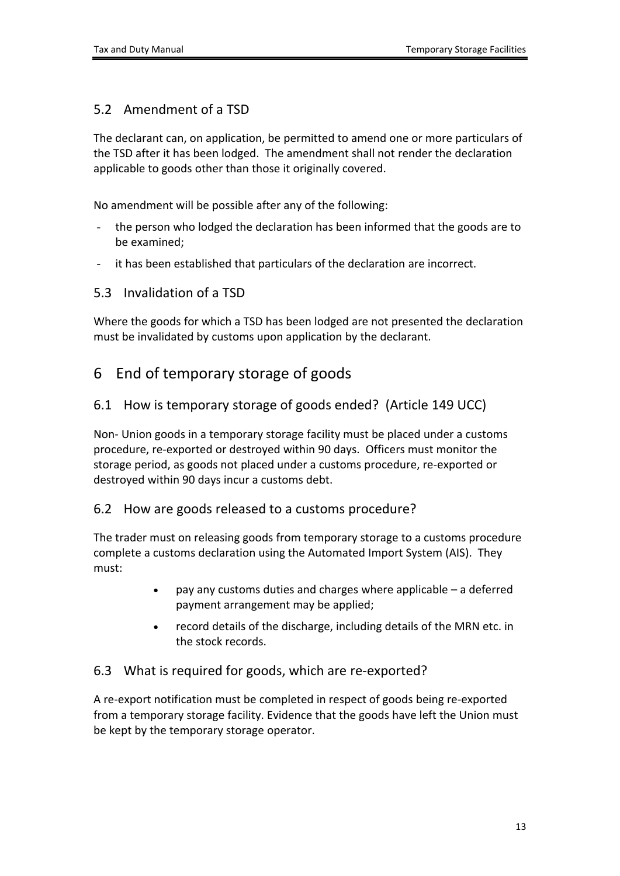### <span id="page-12-0"></span>5.2 Amendment of a TSD

The declarant can, on application, be permitted to amend one or more particulars of the TSD after it has been lodged. The amendment shall not render the declaration applicable to goods other than those it originally covered.

No amendment will be possible after any of the following:

- the person who lodged the declaration has been informed that the goods are to be examined;
- it has been established that particulars of the declaration are incorrect.

#### <span id="page-12-1"></span>5.3 Invalidation of a TSD

Where the goods for which a TSD has been lodged are not presented the declaration must be invalidated by customs upon application by the declarant.

## <span id="page-12-2"></span>6 End of temporary storage of goods

#### <span id="page-12-3"></span>6.1 How is temporary storage of goods ended? (Article 149 UCC)

Non- Union goods in a temporary storage facility must be placed under a customs procedure, re-exported or destroyed within 90 days. Officers must monitor the storage period, as goods not placed under a customs procedure, re-exported or destroyed within 90 days incur a customs debt.

#### <span id="page-12-4"></span>6.2 How are goods released to a customs procedure?

The trader must on releasing goods from temporary storage to a customs procedure complete a customs declaration using the Automated Import System (AIS). They must:

- pay any customs duties and charges where applicable a deferred payment arrangement may be applied;
- record details of the discharge, including details of the MRN etc. in the stock records.

#### <span id="page-12-5"></span>6.3 What is required for goods, which are re-exported?

A re-export notification must be completed in respect of goods being re-exported from a temporary storage facility. Evidence that the goods have left the Union must be kept by the temporary storage operator.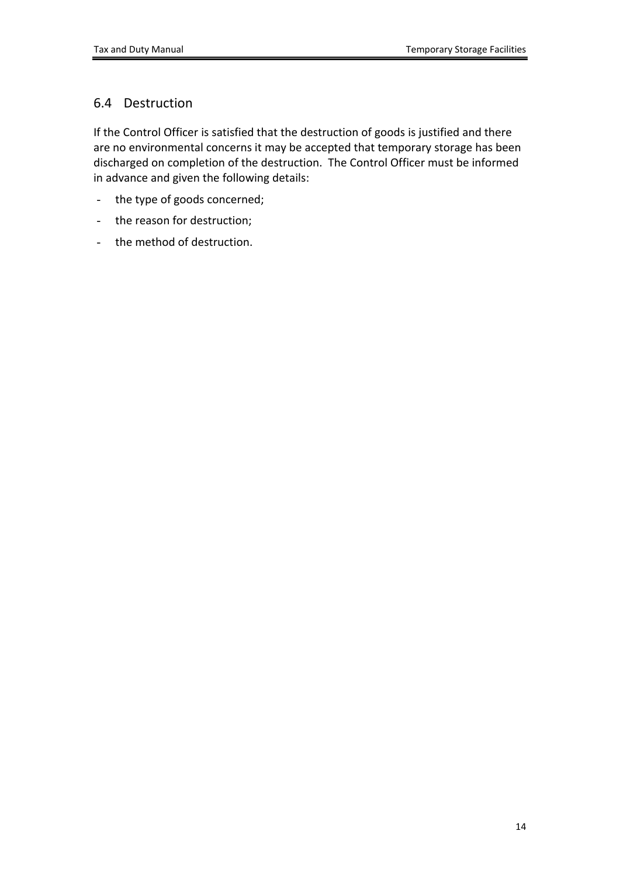### <span id="page-13-0"></span>6.4 Destruction

If the Control Officer is satisfied that the destruction of goods is justified and there are no environmental concerns it may be accepted that temporary storage has been discharged on completion of the destruction. The Control Officer must be informed in advance and given the following details:

- the type of goods concerned;
- the reason for destruction;
- the method of destruction.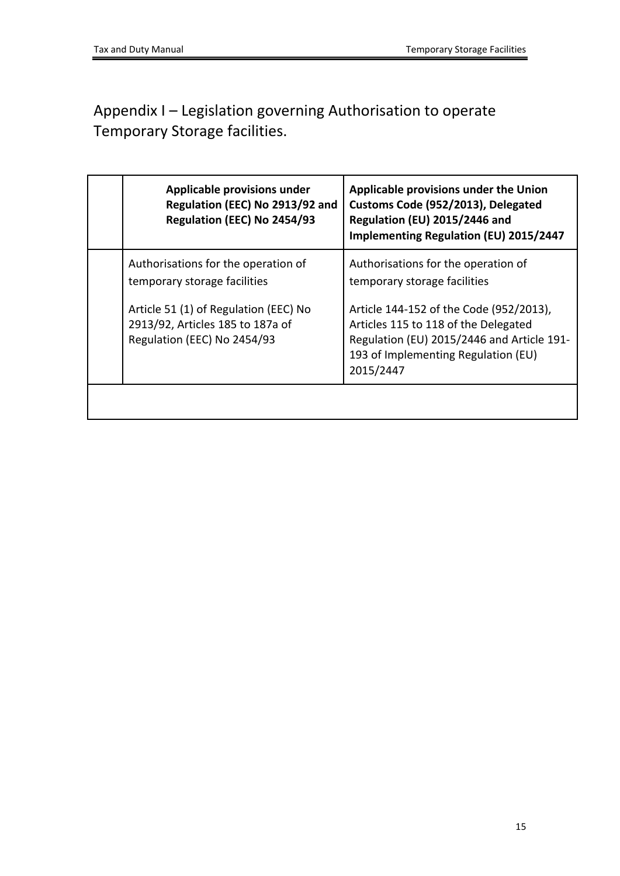# <span id="page-14-0"></span>Appendix I – Legislation governing Authorisation to operate Temporary Storage facilities.

| Applicable provisions under<br>Regulation (EEC) No 2913/92 and<br>Regulation (EEC) No 2454/93                                                                                   | Applicable provisions under the Union<br>Customs Code (952/2013), Delegated<br>Regulation (EU) 2015/2446 and<br>Implementing Regulation (EU) 2015/2447                                                                                      |
|---------------------------------------------------------------------------------------------------------------------------------------------------------------------------------|---------------------------------------------------------------------------------------------------------------------------------------------------------------------------------------------------------------------------------------------|
| Authorisations for the operation of<br>temporary storage facilities<br>Article 51 (1) of Regulation (EEC) No<br>2913/92, Articles 185 to 187a of<br>Regulation (EEC) No 2454/93 | Authorisations for the operation of<br>temporary storage facilities<br>Article 144-152 of the Code (952/2013),<br>Articles 115 to 118 of the Delegated<br>Regulation (EU) 2015/2446 and Article 191-<br>193 of Implementing Regulation (EU) |
|                                                                                                                                                                                 | 2015/2447                                                                                                                                                                                                                                   |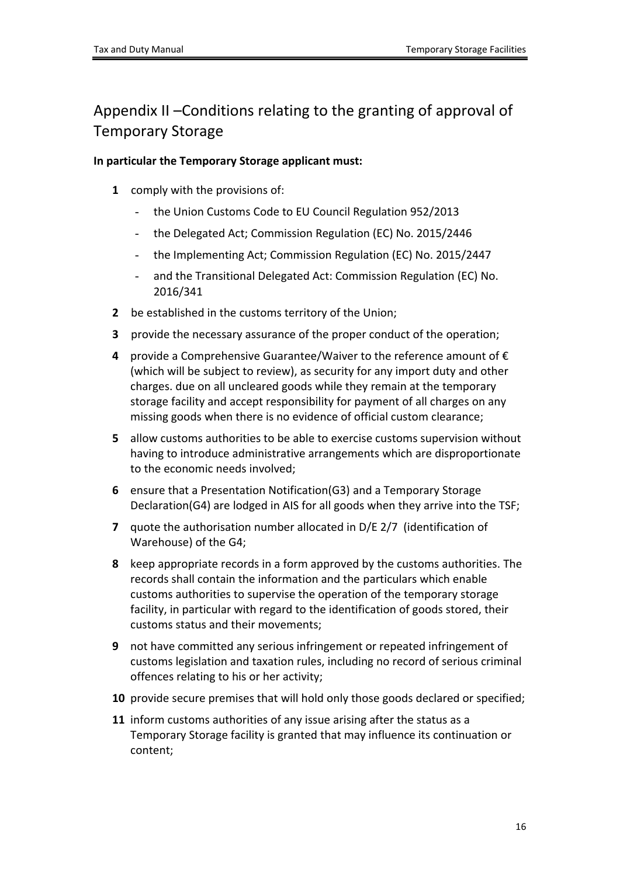# <span id="page-15-0"></span>Appendix II –Conditions relating to the granting of approval of Temporary Storage

#### **In particular the Temporary Storage applicant must:**

- **1** comply with the provisions of:
	- the Union Customs Code to EU Council Regulation 952/2013
	- the Delegated Act; Commission Regulation (EC) No. 2015/2446
	- the Implementing Act; Commission Regulation (EC) No. 2015/2447
	- and the Transitional Delegated Act: Commission Regulation (EC) No. 2016/341
- **2** be established in the customs territory of the Union;
- **3** provide the necessary assurance of the proper conduct of the operation;
- **4** provide a Comprehensive Guarantee/Waiver to the reference amount of € (which will be subject to review), as security for any import duty and other charges. due on all uncleared goods while they remain at the temporary storage facility and accept responsibility for payment of all charges on any missing goods when there is no evidence of official custom clearance;
- **5** allow customs authorities to be able to exercise customs supervision without having to introduce administrative arrangements which are disproportionate to the economic needs involved;
- **6** ensure that a Presentation Notification(G3) and a Temporary Storage Declaration(G4) are lodged in AIS for all goods when they arrive into the TSF;
- **7** quote the authorisation number allocated in D/E 2/7 (identification of Warehouse) of the G4;
- **8** keep appropriate records in a form approved by the customs authorities. The records shall contain the information and the particulars which enable customs authorities to supervise the operation of the temporary storage facility, in particular with regard to the identification of goods stored, their customs status and their movements;
- **9** not have committed any serious infringement or repeated infringement of customs legislation and taxation rules, including no record of serious criminal offences relating to his or her activity;
- **10** provide secure premises that will hold only those goods declared or specified;
- **11** inform customs authorities of any issue arising after the status as a Temporary Storage facility is granted that may influence its continuation or content;